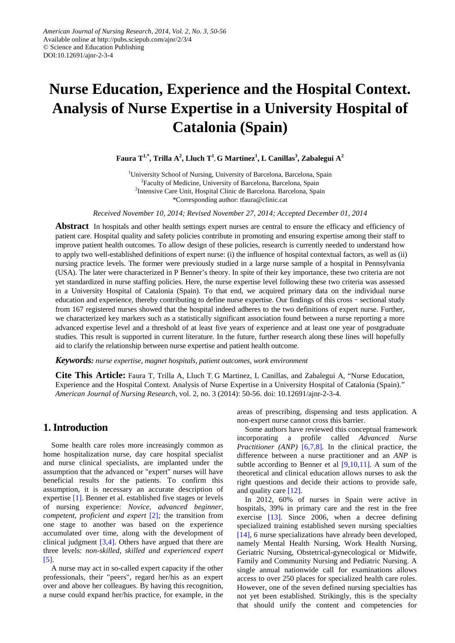# **Nurse Education, Experience and the Hospital Context. Analysis of Nurse Expertise in a University Hospital of Catalonia (Spain)**

 $\mathbf{F}$ aura  $\mathrm{T}^{1,*},$  Trilla  $\mathrm{A}^2,$  Lluch  $\mathrm{T}^1,$  G Martinez $^1,$  L Canillas $^3,$  Zabalegui  $\mathrm{A}^2$ 

<sup>1</sup>University School of Nursing, University of Barcelona, Barcelona, Spain <sup>2</sup>Faculty of Medicine, University of Barcelona, Barcelona, Spain <sup>2</sup>Intensive Care Unit, Hospital Clinic de Barcelona. Barcelona, Spain \*Corresponding author: tfaura@clinic.cat

*Received November 10, 2014; Revised November 27, 2014; Accepted December 01, 2014*

**Abstract** In hospitals and other health settings expert nurses are central to ensure the efficacy and efficiency of patient care. Hospital quality and safety policies contribute in promoting and ensuring expertise among their staff to improve patient health outcomes. To allow design of these policies, research is currently needed to understand how to apply two well-established definitions of expert nurse: (i) the influence of hospital contextual factors, as well as (ii) nursing practice levels. The former were previously studied in a large nurse sample of a hospital in Pennsylvania (USA). The later were characterized in P Benner's theory. In spite of their key importance, these two criteria are not yet standardized in nurse staffing policies. Here, the nurse expertise level following these two criteria was assessed in a University Hospital of Catalonia (Spain). To that end, we acquired primary data on the individual nurse education and experience, thereby contributing to define nurse expertise. Our findings of this cross – sectional study from 167 registered nurses showed that the hospital indeed adheres to the two definitions of expert nurse. Further, we characterized key markers such as a statistically significant association found between a nurse reporting a more advanced expertise level and a threshold of at least five years of experience and at least one year of postgraduate studies. This result is supported in current literature. In the future, further research along these lines will hopefully aid to clarify the relationship between nurse expertise and patient health outcome.

*Keywords: nurse expertise, magnet hospitals, patient outcomes, work environment*

**Cite This Article:** Faura T, Trilla A, Lluch T, G Martinez, L Canillas, and Zabalegui A, "Nurse Education, Experience and the Hospital Context. Analysis of Nurse Expertise in a University Hospital of Catalonia (Spain)." *American Journal of Nursing Research*, vol. 2, no. 3 (2014): 50-56. doi: 10.12691/ajnr-2-3-4.

# **1. Introduction**

Some health care roles more increasingly common as home hospitalization nurse, day care hospital specialist and nurse clinical specialists, are implanted under the assumption that the advanced or "expert" nurses will have beneficial results for the patients. To confirm this assumption, it is necessary an accurate description of expertise [\[1\].](#page-5-0) Benner et al. established five stages or levels of nursing experience: *Novice*, *advanced beginner, competent, proficient and expert* [\[2\]](#page-5-1)*;* the transition from one stage to another was based on the experience accumulated over time, along with the development of clinical judgment [\[3,4\].](#page-5-2) Others have argued that there are three levels: *non-skilled, skilled and experienced expert* [\[5\].](#page-5-3)

A nurse may act in so-called expert capacity if the other professionals, their "peers", regard her/his as an expert over and above her colleagues. By having this recognition, a nurse could expand her/his practice, for example, in the

areas of prescribing, dispensing and tests application. A non-expert nurse cannot cross this barrier.

Some authors have reviewed this conceptual framework incorporating a profile called *Advanced Nurse Practitioner (ANP)* [\[6,7,8\]](#page-5-4)*.* In the clinical practice, the difference between a nurse practitioner and an *ANP* is subtle according to Benner et al  $[9,10,11]$ . A sum of the theoretical and clinical education allows nurses to ask the right questions and decide their actions to provide safe, and quality care [\[12\].](#page-6-0)

In 2012, 60% of nurses in Spain were active in hospitals, 39% in primary care and the rest in the free exercise [\[13\].](#page-6-1) Since 2006, when a decree defining specialized training established seven nursing specialties [\[14\],](#page-6-2) 6 nurse specializations have already been developed, namely Mental Health Nursing, Work Health Nursing, Geriatric Nursing, Obstetrical-gynecological or Midwife, Family and Community Nursing and Pediatric Nursing. A single annual nationwide call for examinations allows access to over 250 places for specialized health care roles. However, one of the seven defined nursing specialties has not yet been established. Strikingly, this is the specialty that should unify the content and competencies for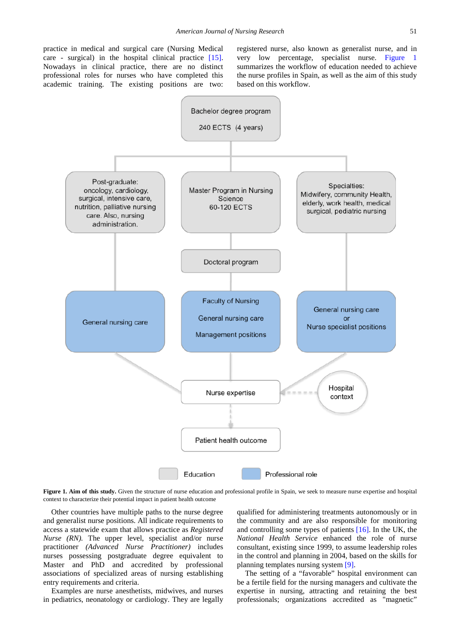practice in medical and surgical care (Nursing Medical care - surgical) in the hospital clinical practice [\[15\].](#page-6-3) Nowadays in clinical practice, there are no distinct professional roles for nurses who have completed this academic training. The existing positions are two:

registered nurse, also known as generalist nurse, and in very low percentage, specialist nurse. [Figure 1](#page-1-0) summarizes the workflow of education needed to achieve the nurse profiles in Spain, as well as the aim of this study based on this workflow.

<span id="page-1-0"></span>

Figure 1. Aim of this study. Given the structure of nurse education and professional profile in Spain, we seek to measure nurse expertise and hospital context to characterize their potential impact in patient health outcome

Other countries have multiple paths to the nurse degree and generalist nurse positions. All indicate requirements to access a statewide exam that allows practice as *Registered Nurse (RN).* The upper level, specialist and/or nurse practitioner *(Advanced Nurse Practitioner)* includes nurses possessing postgraduate degree equivalent to Master and PhD and accredited by professional associations of specialized areas of nursing establishing entry requirements and criteria.

Examples are nurse anesthetists, midwives, and nurses in pediatrics, neonatology or cardiology. They are legally qualified for administering treatments autonomously or in the community and are also responsible for monitoring and controlling some types of patients [\[16\].](#page-6-4) In the UK, the *National Health Service* enhanced the role of nurse consultant, existing since 1999, to assume leadership roles in the control and planning in 2004, based on the skills for planning templates nursing system [\[9\].](#page-5-5)

The setting of a "favorable" hospital environment can be a fertile field for the nursing managers and cultivate the expertise in nursing, attracting and retaining the best professionals; organizations accredited as "magnetic"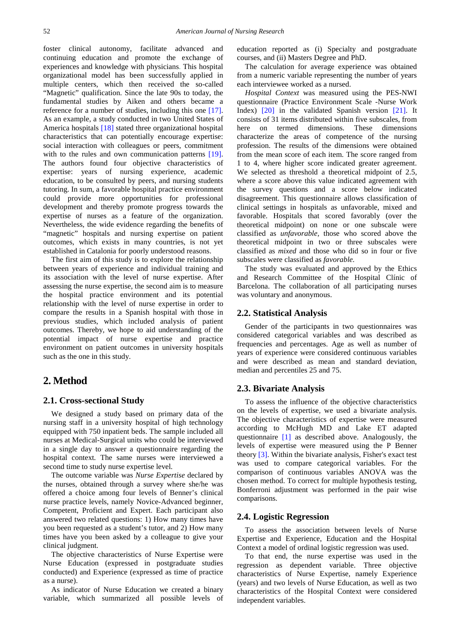foster clinical autonomy, facilitate advanced and continuing education and promote the exchange of experiences and knowledge with physicians. This hospital organizational model has been successfully applied in multiple centers, which then received the so-called "Magnetic" qualification. Since the late 90s to today, the fundamental studies by Aiken and others became a reference for a number of studies, including this one [\[17\].](#page-6-5) As an example, a study conducted in two United States of America hospitals [\[18\]](#page-6-6) stated three organizational hospital characteristics that can potentially encourage expertise: social interaction with colleagues or peers, commitment with to the rules and own communication patterns [\[19\].](#page-6-7) The authors found four objective characteristics of expertise: years of nursing experience, academic education, to be consulted by peers, and nursing students tutoring. In sum, a favorable hospital practice environment could provide more opportunities for professional development and thereby promote progress towards the expertise of nurses as a feature of the organization. Nevertheless, the wide evidence regarding the benefits of "magnetic" hospitals and nursing expertise on patient outcomes, which exists in many countries, is not yet established in Catalonia for poorly understood reasons.

The first aim of this study is to explore the relationship between years of experience and individual training and its association with the level of nurse expertise. After assessing the nurse expertise, the second aim is to measure the hospital practice environment and its potential relationship with the level of nurse expertise in order to compare the results in a Spanish hospital with those in previous studies, which included analysis of patient outcomes. Thereby, we hope to aid understanding of the potential impact of nurse expertise and practice environment on patient outcomes in university hospitals such as the one in this study.

# **2. Method**

#### **2.1. Cross-sectional Study**

We designed a study based on primary data of the nursing staff in a university hospital of high technology equipped with 750 inpatient beds. The sample included all nurses at Medical-Surgical units who could be interviewed in a single day to answer a questionnaire regarding the hospital context*.* The same nurses were interviewed a second time to study nurse expertise level*.*

The outcome variable was *Nurse Expertise* declared by the nurses*,* obtained through a survey where she/he was offered a choice among four levels of Benner's clinical nurse practice levels, namely Novice-Advanced beginner, Competent, Proficient and Expert. Each participant also answered two related questions: 1) How many times have you been requested as a student's tutor, and 2) How many times have you been asked by a colleague to give your clinical judgment.

The objective characteristics of Nurse Expertise were Nurse Education (expressed in postgraduate studies conducted) and Experience (expressed as time of practice as a nurse).

As indicator of Nurse Education we created a binary variable, which summarized all possible levels of education reported as (i) Specialty and postgraduate courses, and (ii) Masters Degree and PhD.

The calculation for average experience was obtained from a numeric variable representing the number of years each interviewee worked as a nursed.

*Hospital Context* was measured using the PES-NWI questionnaire (Practice Environment Scale -Nurse Work Index) [\[20\]](#page-6-8) in the validated Spanish version [\[21\].](#page-6-9) It consists of 31 items distributed within five subscales, from here on termed dimensions. These dimensions characterize the areas of competence of the nursing profession. The results of the dimensions were obtained from the mean score of each item. The score ranged from 1 to 4, where higher score indicated greater agreement. We selected as threshold a theoretical midpoint of 2.5, where a score above this value indicated agreement with the survey questions and a score below indicated disagreement. This questionnaire allows classification of clinical settings in hospitals as unfavorable, mixed and favorable. Hospitals that scored favorably (over the theoretical midpoint) on none or one subscale were classified as *unfavorable,* those who scored above the theoretical midpoint in two or three subscales were classified as *mixed* and those who did so in four or five subscales were classified as *favorable.*

The study was evaluated and approved by the Ethics and Research Committee of the Hospital Clínic of Barcelona. The collaboration of all participating nurses was voluntary and anonymous.

### **2.2. Statistical Analysis**

Gender of the participants in two questionnaires was considered categorical variables and was described as frequencies and percentages. Age as well as number of years of experience were considered continuous variables and were described as mean and standard deviation, median and percentiles 25 and 75.

#### **2.3. Bivariate Analysis**

To assess the influence of the objective characteristics on the levels of expertise, we used a bivariate analysis. The objective characteristics of expertise were measured according to McHugh MD and Lake ET adapted questionnaire [\[1\]](#page-5-0) as described above. Analogously, the levels of expertise were measured using the P Benner theory [\[3\].](#page-5-2) Within the bivariate analysis, Fisher's exact test was used to compare categorical variables. For the comparison of continuous variables ANOVA was the chosen method. To correct for multiple hypothesis testing, Bonferroni adjustment was performed in the pair wise comparisons.

### **2.4. Logistic Regression**

To assess the association between levels of Nurse Expertise and Experience, Education and the Hospital Context a model of ordinal logistic regression was used.

To that end, the nurse expertise was used in the regression as dependent variable. Three objective characteristics of Nurse Expertise, namely Experience (years) and two levels of Nurse Education, as well as two characteristics of the Hospital Context were considered independent variables.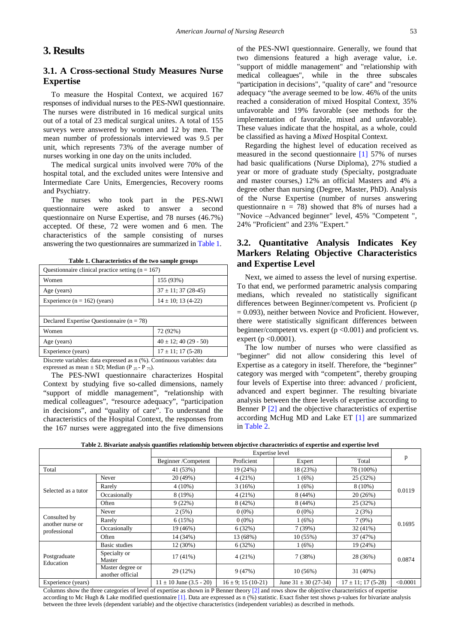# **3. Results**

# **3.1. A Cross-sectional Study Measures Nurse Expertise**

To measure the Hospital Context, we acquired 167 responses of individual nurses to the PES-NWI questionnaire. The nurses were distributed in 16 medical surgical units out of a total of 23 medical surgical unites. A total of 155 surveys were answered by women and 12 by men. The mean number of professionals interviewed was 9.5 per unit, which represents 73% of the average number of nurses working in one day on the units included.

The medical surgical units involved were 70% of the hospital total, and the excluded unites were Intensive and Intermediate Care Units, Emergencies, Recovery rooms and Psychiatry.

The nurses who took part in the PES-NWI questionnaire were asked to answer a second questionnaire on Nurse Expertise, and 78 nurses (46.7%) accepted. Of these, 72 were women and 6 men. The characteristics of the sample consisting of nurses answering the two questionnaires are summarized in [Table 1.](#page-3-0)

<span id="page-3-0"></span>

| Questionnaire clinical practice setting $(n = 167)$ |                            |  |  |  |  |  |
|-----------------------------------------------------|----------------------------|--|--|--|--|--|
| Women                                               | 155 (93%)                  |  |  |  |  |  |
| Age (years)                                         | $37 \pm 11$ ; 37 (28-45)   |  |  |  |  |  |
| Experience $(n = 162)$ (years)                      | $14 \pm 10$ ; 13 (4-22)    |  |  |  |  |  |
|                                                     |                            |  |  |  |  |  |
| Declared Expertise Questionnaire ( $n = 78$ )       |                            |  |  |  |  |  |
| Women                                               | 72 (92%)                   |  |  |  |  |  |
| Age (years)                                         | $40 \pm 12$ ; 40 (29 - 50) |  |  |  |  |  |
| Experience (years)                                  | $17 \pm 11$ ; 17 (5-28)    |  |  |  |  |  |
| $\overline{\phantom{a}}$<br>$\sim$ $\sim$ $\sim$    | $\sim$ $\sim$<br>.         |  |  |  |  |  |

**Table 1. Characteristics of the two sample groups**

Discrete variables: data expressed as n (%). Continuous variables: data expressed as mean  $\pm$  SD; Median (P  $_{25}$  - P  $_{75}$ ).

The PES-NWI questionnaire characterizes Hospital Context by studying five so-called dimensions, namely "support of middle management", "relationship with medical colleagues", "resource adequacy", "participation in decisions", and "quality of care". To understand the characteristics of the Hospital Context, the responses from the 167 nurses were aggregated into the five dimensions of the PES-NWI questionnaire. Generally, we found that two dimensions featured a high average value, i.e. "support of middle management" and "relationship with medical colleagues", while in the three subscales "participation in decisions", "quality of care" and "resource adequacy "the average seemed to be low. 46% of the units reached a consideration of mixed Hospital Context, 35% unfavorable and 19% favorable (see methods for the implementation of favorable, mixed and unfavorable). These values indicate that the hospital, as a whole, could be classified as having a *Mixed* Hospital Context*.*

Regarding the highest level of education received as measured in the second questionnaire [\[1\]](#page-5-0) 57% of nurses had basic qualifications (Nurse Diploma), 27% studied a year or more of graduate study (Specialty, postgraduate and master courses,) 12% an official Masters and 4% a degree other than nursing (Degree, Master, PhD). Analysis of the Nurse Expertise (number of nurses answering questionnaire  $n = 78$ ) showed that 8% of nurses had a "Novice –Advanced beginner" level, 45% "Competent ", 24% "Proficient" and 23% "Expert."

# **3.2. Quantitative Analysis Indicates Key Markers Relating Objective Characteristics and Expertise Level**

Next, we aimed to assess the level of nursing expertise. To that end, we performed parametric analysis comparing medians, which revealed no statistically significant differences between Beginner/competent vs. Proficient (p  $= 0.093$ ), neither between Novice and Proficient. However, there were statistically significant differences between beginner/competent vs. expert (p <0.001) and proficient vs. expert ( $p < 0.0001$ ).

The low number of nurses who were classified as "beginner" did not allow considering this level of Expertise as a category in itself. Therefore, the "beginner" category was merged with "competent", thereby grouping four levels of Expertise into three: advanced / proficient, advanced and expert beginner. The resulting bivariate analysis between the three levels of expertise according to Benner P [\[2\]](#page-5-1) and the objective characteristics of expertise according McHug MD and Lake ET [\[1\]](#page-5-0) are summarized in [Table 2.](#page-3-1)

**Table 2. Bivariate analysis quantifies relationship between objective characteristics of expertise and expertise level**

<span id="page-3-1"></span>

|                                                  |                                      | <b>Expertise</b> level      |                         |                          |                         |          |  |
|--------------------------------------------------|--------------------------------------|-----------------------------|-------------------------|--------------------------|-------------------------|----------|--|
|                                                  |                                      | Beginner/Competent          | Proficient              | Expert                   | Total                   | p        |  |
| Total                                            |                                      | 41 (53%)                    | 19 (24%)                | 18 (23%)                 | 78 (100%)               |          |  |
| Selected as a tutor                              | Never                                | 20 (49%)                    | 4(21%)                  | 1(6%)                    | 25(32%)                 | 0.0119   |  |
|                                                  | Rarely                               | $4(10\%)$                   | 3(16%)                  | 1(6%)                    | $8(10\%)$               |          |  |
|                                                  | Occasionally                         | 8 (19%)                     | 4(21%)                  | 8(44%)                   | 20(26%)                 |          |  |
|                                                  | Often                                | 9(22%)                      | 8(42%)                  | 8(44%)                   | 25 (32%)                |          |  |
| Consulted by<br>another nurse or<br>professional | Never                                | 2(5%)                       | $0(0\%)$                | $0(0\%)$                 | 2(3%)                   | 0.1695   |  |
|                                                  | Rarely                               | 6(15%)                      | $0(0\%)$                | 1(6%)                    | 7(9%)                   |          |  |
|                                                  | Occasionally                         | 19 (46%)                    | 6(32%)                  | 7(39%)                   | $32(41\%)$              |          |  |
|                                                  | Often                                | 14 (34%)                    | 13 (68%)                | 10(55%)                  | 37 (47%)                |          |  |
| Postgraduate<br>Education                        | Basic studies                        | 12 (30%)                    | 6(32%)                  | 1(6%)                    | 19 (24%)                |          |  |
|                                                  | Specialty or<br>Master               | $17(41\%)$                  | 4(21%)                  | 7(38%)                   | 28 (36%)                | 0.0874   |  |
|                                                  | Master degree or<br>another official | 29 (12%)                    | 9(47%)                  | 10(56%)                  | $31(40\%)$              |          |  |
| Experience (years)                               |                                      | $11 \pm 10$ June (3.5 - 20) | $16 \pm 9$ ; 15 (10-21) | June $31 \pm 30$ (27-34) | $17 \pm 11$ ; 17 (5-28) | < 0.0001 |  |

Columns show the three categories of level of expertise as shown in P Benner theory [\[2\]](#page-5-1) and rows show the objective characteristics of expertise according to Mc Hugh & Lake modified questionnaire [\[1\].](#page-5-0) Data are expressed as n (%) statistic. Exact fisher test shows p-values for bivariate analysis between the three levels (dependent variable) and the objective characteristics (independent variables) as described in methods.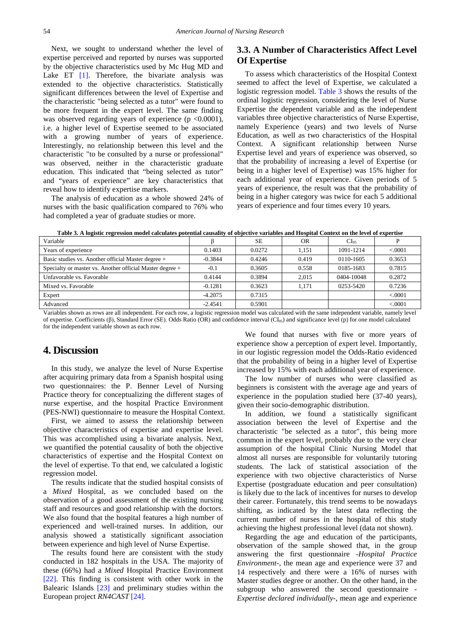Next, we sought to understand whether the level of expertise perceived and reported by nurses was supported by the objective characteristics used by Mc Hug MD and Lake ET  $[1]$ . Therefore, the bivariate analysis was extended to the objective characteristics. Statistically significant differences between the level of Expertise and the characteristic "being selected as a tutor" were found to be more frequent in the expert level. The same finding was observed regarding years of experience  $(p \le 0.0001)$ , i.e. a higher level of Expertise seemed to be associated with a growing number of years of experience. Interestingly, no relationship between this level and the characteristic "to be consulted by a nurse or professional" was observed, neither in the characteristic graduate education. This indicated that "being selected as tutor" and "years of experience" are key characteristics that reveal how to identify expertise markers.

The analysis of education as a whole showed 24% of nurses with the basic qualification compared to 76% who had completed a year of graduate studies or more.

## **3.3. A Number of Characteristics Affect Level Of Expertise**

To assess which characteristics of the Hospital Context seemed to affect the level of Expertise, we calculated a logistic regression model. [Table 3](#page-4-0) shows the results of the ordinal logistic regression, considering the level of Nurse Expertise the dependent variable and as the independent variables three objective characteristics of Nurse Expertise, namely Experience (years) and two levels of Nurse Education, as well as two characteristics of the Hospital Context. A significant relationship between Nurse Expertise level and years of experience was observed, so that the probability of increasing a level of Expertise (or being in a higher level of Expertise) was 15% higher for each additional year of experience. Given periods of 5 years of experience, the result was that the probability of being in a higher category was twice for each 5 additional years of experience and four times every 10 years.

<span id="page-4-0"></span>

| Variable                                                 |           | <b>SE</b> | <b>OR</b> | CI <sub>05</sub> |          |
|----------------------------------------------------------|-----------|-----------|-----------|------------------|----------|
| Years of experience                                      | 0.1403    | 0.0272    | 1.151     | 1091-1214        | < 0.0001 |
| Basic studies vs. Another official Master degree +       | $-0.3844$ | 0.4246    | 0.419     | 0110-1605        | 0.3653   |
| Specialty or master vs. Another official Master degree + | $-0.1$    | 0.3605    | 0.558     | 0185-1683        | 0.7815   |
| Unfavorable vs. Favorable                                | 0.4144    | 0.3894    | 2.015     | 0404-10048       | 0.2872   |
| Mixed vs. Favorable                                      | $-0.1281$ | 0.3623    | 1.171     | 0253-5420        | 0.7236   |
| Expert                                                   | $-4.2075$ | 0.7315    |           |                  | < 0.0001 |
| Advanced                                                 | $-2.4541$ | 0.5901    |           |                  | < 0.0001 |

Variables shown as rows are all independent. For each row, a logistic regression model was calculated with the same independent variable, namely level of expertise. Coefficients (β), Standard Error (SE). Odds Ratio (OR) and confidence interval (CI95) and significance level (p) for one model calculated for the independent variable shown as each row.

## **4. Discussion**

In this study, we analyze the level of Nurse Expertise after acquiring primary data from a Spanish hospital using two questionnaires: the P. Benner Level of Nursing Practice theory for conceptualizing the different stages of nurse expertise, and the hospital Practice Environment (PES-NWI) questionnaire to measure the Hospital Context.

First, we aimed to assess the relationship between objective characteristics of expertise and expertise level. This was accomplished using a bivariate analysis. Next, we quantified the potential causality of both the objective characteristics of expertise and the Hospital Context on the level of expertise. To that end, we calculated a logistic regression model.

The results indicate that the studied hospital consists of a *Mixed* Hospital, as we concluded based on the observation of a good assessment of the existing nursing staff and resources and good relationship with the doctors. We also found that the hospital features a high number of experienced and well-trained nurses. In addition, our analysis showed a statistically significant association between experience and high level of Nurse Expertise.

The results found here are consistent with the study conducted in 182 hospitals in the USA. The majority of these (66%) had a *Mixed* Hospital Practice Environment [\[22\].](#page-6-10) This finding is consistent with other work in the Balearic Islands [\[23\]](#page-6-11) and preliminary studies within the European project *RN4CAST* [\[24\].](#page-6-12)

We found that nurses with five or more years of experience show a perception of expert level. Importantly, in our logistic regression model the Odds-Ratio evidenced that the probability of being in a higher level of Expertise increased by 15% with each additional year of experience.

The low number of nurses who were classified as beginners is consistent with the average age and years of experience in the population studied here (37-40 years), given their socio-demographic distribution.

In addition, we found a statistically significant association between the level of Expertise and the characteristic "be selected as a tutor", this being more common in the expert level, probably due to the very clear assumption of the hospital Clinic Nursing Model that almost all nurses are responsible for voluntarily tutoring students. The lack of statistical association of the experience with two objective characteristics of Nurse Expertise (postgraduate education and peer consultation) is likely due to the lack of incentives for nurses to develop their career. Fortunately, this trend seems to be nowadays shifting, as indicated by the latest data reflecting the current number of nurses in the hospital of this study achieving the highest professional level (data not shown).

Regarding the age and education of the participants, observation of the sample showed that, in the group answering the first questionnaire -*Hospital Practice Environment-,* the mean age and experience were 37 and 14 respectively and there were a 16% of nurses with Master studies degree or another. On the other hand, in the subgroup who answered the second questionnaire - *Expertise declared individually-,* mean age and experience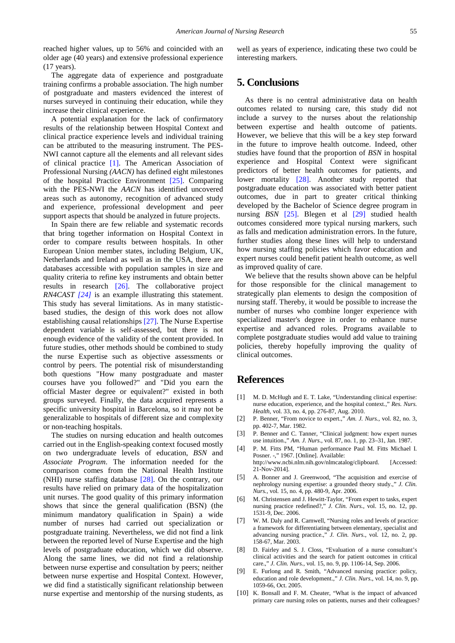reached higher values, up to 56% and coincided with an older age (40 years) and extensive professional experience (17 years).

The aggregate data of experience and postgraduate training confirms a probable association. The high number of postgraduate and masters evidenced the interest of nurses surveyed in continuing their education, while they increase their clinical experience.

A potential explanation for the lack of confirmatory results of the relationship between Hospital Context and clinical practice experience levels and individual training can be attributed to the measuring instrument. The PES-NWI cannot capture all the elements and all relevant sides of clinical practice [\[1\].](#page-5-0) The American Association of Professional Nursing *(AACN)* has defined eight milestones of the hospital Practice Environment [\[25\].](#page-6-13) Comparing with the PES-NWI the *AACN* has identified uncovered areas such as autonomy, recognition of advanced study and experience, professional development and peer support aspects that should be analyzed in future projects.

In Spain there are few reliable and systematic records that bring together information on Hospital Context in order to compare results between hospitals. In other European Union member states, including Belgium, UK, Netherlands and Ireland as well as in the USA, there are databases accessible with population samples in size and quality criteria to refine key instruments and obtain better results in research [\[26\].](#page-6-14) The collaborative project *RN4CAST [\[24\]](#page-6-12)* is an example illustrating this statement. This study has several limitations. As in many statisticbased studies, the design of this work does not allow establishing causal relationships [\[27\].](#page-6-15) The Nurse Expertise dependent variable is self-assessed, but there is not enough evidence of the validity of the content provided. In future studies, other methods should be combined to study the nurse Expertise such as objective assessments or control by peers. The potential risk of misunderstanding both questions "How many postgraduate and master courses have you followed?" and "Did you earn the official Master degree or equivalent?" existed in both groups surveyed. Finally, the data acquired represents a specific university hospital in Barcelona, so it may not be generalizable to hospitals of different size and complexity or non-teaching hospitals.

The studies on nursing education and health outcomes carried out in the English-speaking context focused mostly on two undergraduate levels of education, *BSN* and *Associate Program*. The information needed for the comparison comes from the National Health Institute (NHI) nurse staffing database [\[28\].](#page-6-16) On the contrary, our results have relied on primary data of the hospitalization unit nurses. The good quality of this primary information shows that since the general qualification (BSN) (the minimum mandatory qualification in Spain) a wide number of nurses had carried out specialization or postgraduate training. Nevertheless, we did not find a link between the reported level of Nurse Expertise and the high levels of postgraduate education, which we did observe. Along the same lines, we did not find a relationship between nurse expertise and consultation by peers; neither between nurse expertise and Hospital Context. However, we did find a statistically significant relationship between nurse expertise and mentorship of the nursing students, as well as years of experience, indicating these two could be interesting markers.

# **5. Conclusions**

As there is no central administrative data on health outcomes related to nursing care, this study did not include a survey to the nurses about the relationship between expertise and health outcome of patients. However, we believe that this will be a key step forward in the future to improve health outcome. Indeed, other studies have found that the proportion of *BSN* in hospital experience and Hospital Context were significant predictors of better health outcomes for patients, and lower mortality [\[28\].](#page-6-16) Another study reported that postgraduate education was associated with better patient outcomes, due in part to greater critical thinking developed by the Bachelor of Science degree program in nursing *BSN* [\[25\].](#page-6-13) Blegen et al [\[29\]](#page-6-17) studied health outcomes considered more typical nursing markers, such as falls and medication administration errors. In the future, further studies along these lines will help to understand how nursing staffing policies which favor education and expert nurses could benefit patient health outcome, as well as improved quality of care.

We believe that the results shown above can be helpful for those responsible for the clinical management to strategically plan elements to design the composition of nursing staff. Thereby, it would be possible to increase the number of nurses who combine longer experience with specialized master's degree in order to enhance nurse expertise and advanced roles. Programs available to complete postgraduate studies would add value to training policies, thereby hopefully improving the quality of clinical outcomes.

# **References**

- <span id="page-5-0"></span>[1] M. D. McHugh and E. T. Lake, "Understanding clinical expertise: nurse education, experience, and the hospital context.," *Res. Nurs. Health*, vol. 33, no. 4, pp. 276-87, Aug. 2010.
- <span id="page-5-1"></span>[2] P. Benner, "From novice to expert.," *Am. J. Nurs.*, vol. 82, no. 3, pp. 402-7, Mar. 1982.
- <span id="page-5-2"></span>[3] P. Benner and C. Tanner, "Clinical judgment: how expert nurses use intuition.," *Am. J. Nurs.*, vol. 87, no. 1, pp. 23–31, Jan. 1987.
- [4] P. M. Fitts PM, "Human performance Paul M. Fitts Michael I. Posner. -," 1967. [Online]. Available: http://www.ncbi.nlm.nih.gov/nlmcatalog/clipboard. [Accessed: 21-Nov-2014].
- <span id="page-5-3"></span>[5] A. Bonner and J. Greenwood, "The acquisition and exercise of nephrology nursing expertise: a grounded theory study.," *J. Clin. Nurs.*, vol. 15, no. 4, pp. 480-9, Apr. 2006.
- <span id="page-5-4"></span>[6] M. Christensen and J. Hewitt-Taylor, "From expert to tasks, expert nursing practice redefined?," *J. Clin. Nurs.*, vol. 15, no. 12, pp. 1531-9, Dec. 2006.
- [7] W. M. Daly and R. Carnwell, "Nursing roles and levels of practice: a framework for differentiating between elementary, specialist and advancing nursing practice.," *J. Clin. Nurs.*, vol. 12, no. 2, pp. 158-67, Mar. 2003.
- [8] D. Fairley and S. J. Closs, "Evaluation of a nurse consultant's clinical activities and the search for patient outcomes in critical care.," *J. Clin. Nurs.*, vol. 15, no. 9, pp. 1106-14, Sep. 2006.
- <span id="page-5-5"></span>E. Furlong and R. Smith, "Advanced nursing practice: policy, education and role development.," *J. Clin. Nurs.*, vol. 14, no. 9, pp. 1059-66, Oct. 2005.
- [10] K. Bonsall and F. M. Cheater, "What is the impact of advanced primary care nursing roles on patients, nurses and their colleagues?